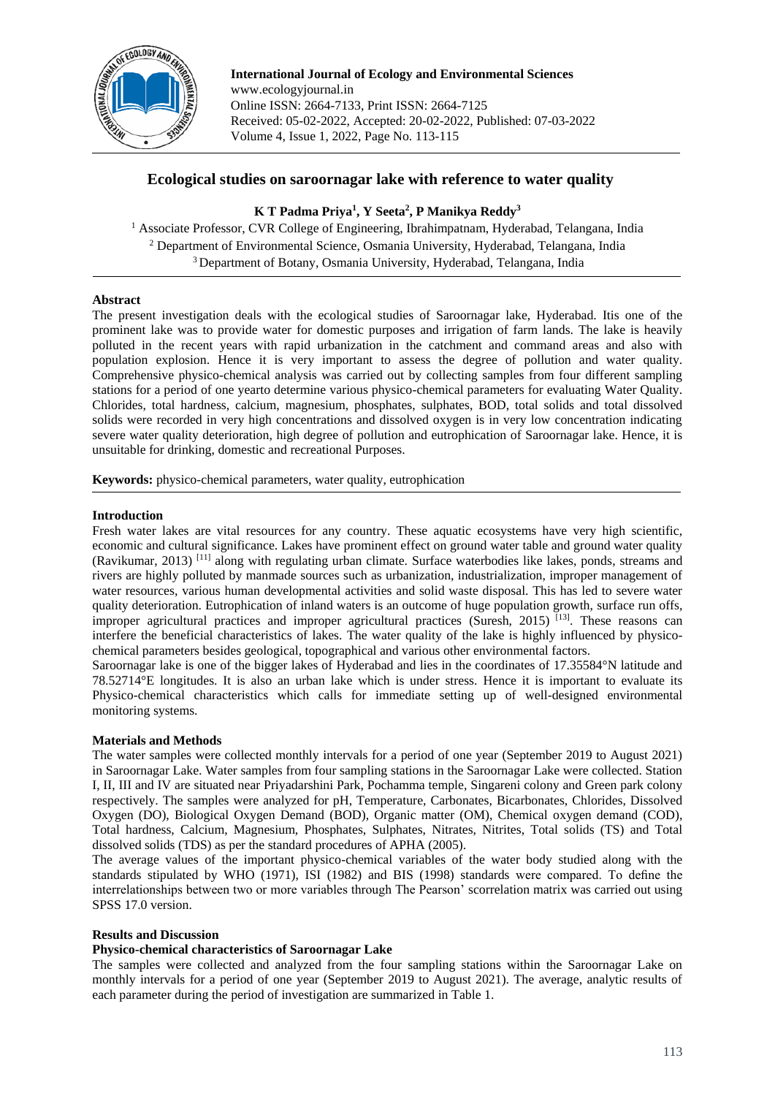

**International Journal of Ecology and Environmental Sciences** www.ecologyjournal.in Online ISSN: 2664-7133, Print ISSN: 2664-7125 Received: 05-02-2022, Accepted: 20-02-2022, Published: 07-03-2022 Volume 4, Issue 1, 2022, Page No. 113-115

# **Ecological studies on saroornagar lake with reference to water quality**

# **K T Padma Priya<sup>1</sup> , Y Seeta<sup>2</sup> , P Manikya Reddy<sup>3</sup>**

<sup>1</sup> Associate Professor, CVR College of Engineering, Ibrahimpatnam, Hyderabad, Telangana, India <sup>2</sup> Department of Environmental Science, Osmania University, Hyderabad, Telangana, India <sup>3</sup> Department of Botany, Osmania University, Hyderabad, Telangana, India

## **Abstract**

The present investigation deals with the ecological studies of Saroornagar lake, Hyderabad. Itis one of the prominent lake was to provide water for domestic purposes and irrigation of farm lands. The lake is heavily polluted in the recent years with rapid urbanization in the catchment and command areas and also with population explosion. Hence it is very important to assess the degree of pollution and water quality. Comprehensive physico-chemical analysis was carried out by collecting samples from four different sampling stations for a period of one yearto determine various physico-chemical parameters for evaluating Water Quality. Chlorides, total hardness, calcium, magnesium, phosphates, sulphates, BOD, total solids and total dissolved solids were recorded in very high concentrations and dissolved oxygen is in very low concentration indicating severe water quality deterioration, high degree of pollution and eutrophication of Saroornagar lake. Hence, it is unsuitable for drinking, domestic and recreational Purposes.

**Keywords:** physico-chemical parameters, water quality, eutrophication

### **Introduction**

Fresh water lakes are vital resources for any country. These aquatic ecosystems have very high scientific, economic and cultural significance. Lakes have prominent effect on ground water table and ground water quality (Ravikumar, 2013)<sup>[11]</sup> along with regulating urban climate. Surface waterbodies like lakes, ponds, streams and rivers are highly polluted by manmade sources such as urbanization, industrialization, improper management of water resources, various human developmental activities and solid waste disposal. This has led to severe water quality deterioration. Eutrophication of inland waters is an outcome of huge population growth, surface run offs, improper agricultural practices and improper agricultural practices (Suresh,  $2015$ )<sup>[13]</sup>. These reasons can interfere the beneficial characteristics of lakes. The water quality of the lake is highly influenced by physicochemical parameters besides geological, topographical and various other environmental factors.

Saroornagar lake is one of the bigger lakes of Hyderabad and lies in the coordinates of 17.35584°N latitude and 78.52714°E longitudes. It is also an urban lake which is under stress. Hence it is important to evaluate its Physico-chemical characteristics which calls for immediate setting up of well-designed environmental monitoring systems.

#### **Materials and Methods**

The water samples were collected monthly intervals for a period of one year (September 2019 to August 2021) in Saroornagar Lake. Water samples from four sampling stations in the Saroornagar Lake were collected. Station I, II, III and IV are situated near Priyadarshini Park, Pochamma temple, Singareni colony and Green park colony respectively. The samples were analyzed for pH, Temperature, Carbonates, Bicarbonates, Chlorides, Dissolved Oxygen (DO), Biological Oxygen Demand (BOD), Organic matter (OM), Chemical oxygen demand (COD), Total hardness, Calcium, Magnesium, Phosphates, Sulphates, Nitrates, Nitrites, Total solids (TS) and Total dissolved solids (TDS) as per the standard procedures of APHA (2005).

The average values of the important physico-chemical variables of the water body studied along with the standards stipulated by WHO (1971), ISI (1982) and BIS (1998) standards were compared. To define the interrelationships between two or more variables through The Pearson' scorrelation matrix was carried out using SPSS 17.0 version.

#### **Results and Discussion**

#### **Physico-chemical characteristics of Saroornagar Lake**

The samples were collected and analyzed from the four sampling stations within the Saroornagar Lake on monthly intervals for a period of one year (September 2019 to August 2021). The average, analytic results of each parameter during the period of investigation are summarized in Table 1.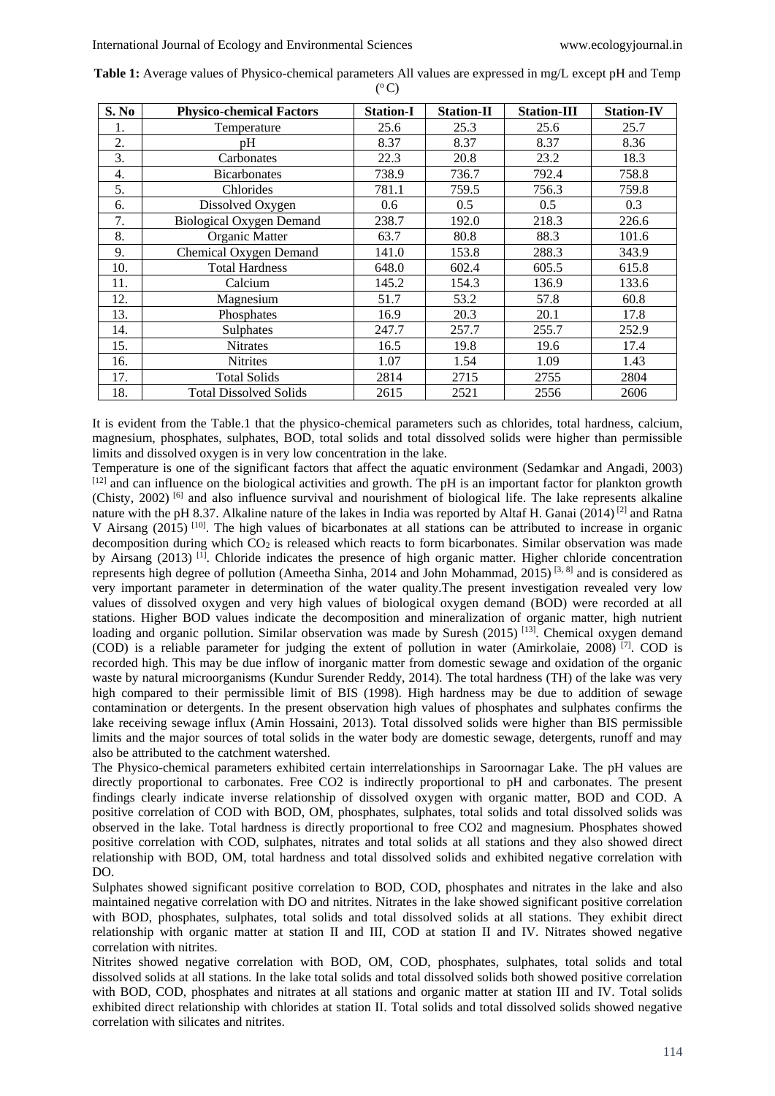| S. No | <b>Physico-chemical Factors</b> | <b>Station-I</b> | <b>Station-II</b> | <b>Station-III</b> | <b>Station-IV</b> |
|-------|---------------------------------|------------------|-------------------|--------------------|-------------------|
| 1.    | Temperature                     | 25.6             | 25.3              | 25.6               | 25.7              |
| 2.    | pH                              | 8.37             | 8.37              | 8.37               | 8.36              |
| 3.    | Carbonates                      | 22.3             | 20.8              | 23.2               | 18.3              |
| 4.    | <b>Bicarbonates</b>             | 738.9            | 736.7             | 792.4              | 758.8             |
| 5.    | Chlorides                       | 781.1            | 759.5             | 756.3              | 759.8             |
| 6.    | Dissolved Oxygen                | 0.6              | 0.5               | 0.5                | 0.3               |
| 7.    | <b>Biological Oxygen Demand</b> | 238.7            | 192.0             | 218.3              | 226.6             |
| 8.    | Organic Matter                  | 63.7             | 80.8              | 88.3               | 101.6             |
| 9.    | Chemical Oxygen Demand          | 141.0            | 153.8             | 288.3              | 343.9             |
| 10.   | <b>Total Hardness</b>           | 648.0            | 602.4             | 605.5              | 615.8             |
| 11.   | Calcium                         | 145.2            | 154.3             | 136.9              | 133.6             |
| 12.   | Magnesium                       | 51.7             | 53.2              | 57.8               | 60.8              |
| 13.   | Phosphates                      | 16.9             | 20.3              | 20.1               | 17.8              |
| 14.   | Sulphates                       | 247.7            | 257.7             | 255.7              | 252.9             |
| 15.   | <b>Nitrates</b>                 | 16.5             | 19.8              | 19.6               | 17.4              |
| 16.   | <b>Nitrites</b>                 | 1.07             | 1.54              | 1.09               | 1.43              |
| 17.   | <b>Total Solids</b>             | 2814             | 2715              | 2755               | 2804              |
| 18.   | <b>Total Dissolved Solids</b>   | 2615             | 2521              | 2556               | 2606              |

**Table 1:** Average values of Physico-chemical parameters All values are expressed in mg/L except pH and Temp  $(^\mathrm{o}\mathrm{C})$ 

It is evident from the Table.1 that the physico-chemical parameters such as chlorides, total hardness, calcium, magnesium, phosphates, sulphates, BOD, total solids and total dissolved solids were higher than permissible limits and dissolved oxygen is in very low concentration in the lake.

Temperature is one of the significant factors that affect the aquatic environment (Sedamkar and Angadi, 2003) [12] and can influence on the biological activities and growth. The pH is an important factor for plankton growth (Chisty, 2002) [6] and also influence survival and nourishment of biological life. The lake represents alkaline nature with the pH 8.37. Alkaline nature of the lakes in India was reported by Altaf H. Ganai (2014)<sup>[2]</sup> and Ratna V Airsang (2015)<sup>[10]</sup>. The high values of bicarbonates at all stations can be attributed to increase in organic decomposition during which CO<sub>2</sub> is released which reacts to form bicarbonates. Similar observation was made by Airsang (2013)<sup>[1]</sup>. Chloride indicates the presence of high organic matter. Higher chloride concentration represents high degree of pollution (Ameetha Sinha, 2014 and John Mohammad, 2015)<sup>[3, 8]</sup> and is considered as very important parameter in determination of the water quality.The present investigation revealed very low values of dissolved oxygen and very high values of biological oxygen demand (BOD) were recorded at all stations. Higher BOD values indicate the decomposition and mineralization of organic matter, high nutrient loading and organic pollution. Similar observation was made by Suresh  $(2015)^{[13]}$ . Chemical oxygen demand (COD) is a reliable parameter for judging the extent of pollution in water (Amirkolaie, 2008) [7] . COD is recorded high. This may be due inflow of inorganic matter from domestic sewage and oxidation of the organic waste by natural microorganisms (Kundur Surender Reddy, 2014). The total hardness (TH) of the lake was very high compared to their permissible limit of BIS (1998). High hardness may be due to addition of sewage contamination or detergents. In the present observation high values of phosphates and sulphates confirms the lake receiving sewage influx (Amin Hossaini, 2013). Total dissolved solids were higher than BIS permissible limits and the major sources of total solids in the water body are domestic sewage, detergents, runoff and may also be attributed to the catchment watershed.

The Physico-chemical parameters exhibited certain interrelationships in Saroornagar Lake. The pH values are directly proportional to carbonates. Free CO2 is indirectly proportional to pH and carbonates. The present findings clearly indicate inverse relationship of dissolved oxygen with organic matter, BOD and COD. A positive correlation of COD with BOD, OM, phosphates, sulphates, total solids and total dissolved solids was observed in the lake. Total hardness is directly proportional to free CO2 and magnesium. Phosphates showed positive correlation with COD, sulphates, nitrates and total solids at all stations and they also showed direct relationship with BOD, OM, total hardness and total dissolved solids and exhibited negative correlation with DO.

Sulphates showed significant positive correlation to BOD, COD, phosphates and nitrates in the lake and also maintained negative correlation with DO and nitrites. Nitrates in the lake showed significant positive correlation with BOD, phosphates, sulphates, total solids and total dissolved solids at all stations. They exhibit direct relationship with organic matter at station II and III, COD at station II and IV. Nitrates showed negative correlation with nitrites.

Nitrites showed negative correlation with BOD, OM, COD, phosphates, sulphates, total solids and total dissolved solids at all stations. In the lake total solids and total dissolved solids both showed positive correlation with BOD, COD, phosphates and nitrates at all stations and organic matter at station III and IV. Total solids exhibited direct relationship with chlorides at station II. Total solids and total dissolved solids showed negative correlation with silicates and nitrites.